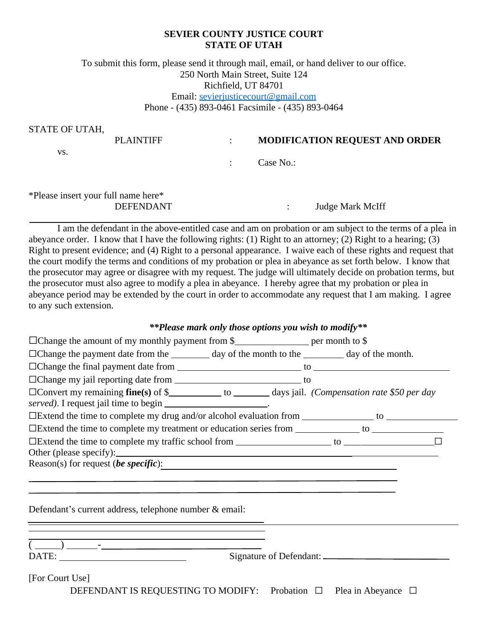## **SEVIER COUNTY JUSTICE COURT STATE OF UTAH**

To submit this form, please send it through mail, email, or hand deliver to our office. 250 North Main Street, Suite 124 Richfield, UT 84701 Email: [sevierjusticecourt@gmail.com](mailto:sevierjusticecourt@gmail.com) Phone - (435) 893-0461 Facsimile - (435) 893-0464

STATE OF UTAH,

| <b>PLAINTIFF</b> |  | <b>MODIFICATION REQUEST AND ORDER</b> |
|------------------|--|---------------------------------------|
|------------------|--|---------------------------------------|

vs.

: Case No.:

\*Please insert your full name here\*

DEFENDANT : Judge Mark McIff

I am the defendant in the above-entitled case and am on probation or am subject to the terms of a plea in abeyance order. I know that I have the following rights: (1) Right to an attorney; (2) Right to a hearing; (3) Right to present evidence; and (4) Right to a personal appearance. I waive each of these rights and request that the court modify the terms and conditions of my probation or plea in abeyance as set forth below. I know that the prosecutor may agree or disagree with my request. The judge will ultimately decide on probation terms, but the prosecutor must also agree to modify a plea in abeyance. I hereby agree that my probation or plea in abeyance period may be extended by the court in order to accommodate any request that I am making. I agree to any such extension.

### *\*\*Please mark only those options you wish to modify\*\**

| $\Box$ Change the amount of my monthly payment from \$                                                                                                                                                                                                                                                                                                                                                                                                                                                                                                                                                                                                                                                                                             |  |
|----------------------------------------------------------------------------------------------------------------------------------------------------------------------------------------------------------------------------------------------------------------------------------------------------------------------------------------------------------------------------------------------------------------------------------------------------------------------------------------------------------------------------------------------------------------------------------------------------------------------------------------------------------------------------------------------------------------------------------------------------|--|
| □ Change the payment date from the __________ day of the month to the _________ day of the month.                                                                                                                                                                                                                                                                                                                                                                                                                                                                                                                                                                                                                                                  |  |
|                                                                                                                                                                                                                                                                                                                                                                                                                                                                                                                                                                                                                                                                                                                                                    |  |
| □Change my jail reporting date from <u>______________________________</u> to                                                                                                                                                                                                                                                                                                                                                                                                                                                                                                                                                                                                                                                                       |  |
| $\Box$ Convert my remaining fine(s) of \$____________ to __________ days jail. (Compensation rate \$50 per day<br>served). I request jail time to begin _______________________.                                                                                                                                                                                                                                                                                                                                                                                                                                                                                                                                                                   |  |
| $\Box$ Extend the time to complete my drug and/or alcohol evaluation from $\Box$ to $\Box$                                                                                                                                                                                                                                                                                                                                                                                                                                                                                                                                                                                                                                                         |  |
| □Extend the time to complete my treatment or education series from ____________ to ________________                                                                                                                                                                                                                                                                                                                                                                                                                                                                                                                                                                                                                                                |  |
| $\Box$ Extend the time to complete my traffic school from $\Box$ to $\Box$                                                                                                                                                                                                                                                                                                                                                                                                                                                                                                                                                                                                                                                                         |  |
| Reason(s) for request ( <i>be specific</i> ): $\qquad \qquad$<br>Defendant's current address, telephone number & email:                                                                                                                                                                                                                                                                                                                                                                                                                                                                                                                                                                                                                            |  |
|                                                                                                                                                                                                                                                                                                                                                                                                                                                                                                                                                                                                                                                                                                                                                    |  |
| the control of the control of the control of the control of the control of the control of the control of the control of the control of the control of the control of the control of the control of the control of the control<br>the control of the control of the control of the control of the control of the control of the control of the control of the control of the control of the control of the control of the control of the control of the control<br>$\frac{1}{\left(\frac{1}{2}\right)^{2}}$ . The set of $\frac{1}{2}$ is the set of $\frac{1}{2}$ is the set of $\frac{1}{2}$ is the set of $\frac{1}{2}$ is the set of $\frac{1}{2}$ is the set of $\frac{1}{2}$ is the set of $\frac{1}{2}$ is the set of $\frac{1}{2}$ is the s |  |
| [For Court Use]                                                                                                                                                                                                                                                                                                                                                                                                                                                                                                                                                                                                                                                                                                                                    |  |

DEFENDANT IS REQUESTING TO MODIFY: Probation □ Plea in Abeyance □